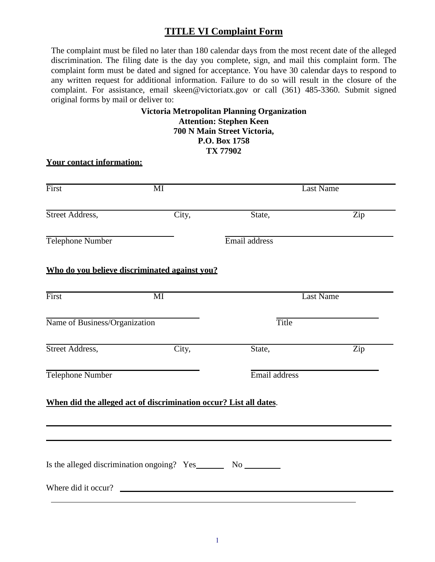## **TITLE VI Complaint Form**

The complaint must be filed no later than 180 calendar days from the most recent date of the alleged discrimination. The filing date is the day you complete, sign, and mail this complaint form. The complaint form must be dated and signed for acceptance. You have 30 calendar days to respond to any written request for additional information. Failure to do so will result in the closure of the complaint. For assistance, [email skeen@victoriatx.gov o](mailto:abilenempo@abilenetx.gov)r call (361) 485-3360. Submit signed original forms by mail or deliver to:

## **Victoria Metropolitan Planning Organization Attention: Stephen Keen 700 N Main Street Victoria, P.O. Box 1758 TX 77902**

## **Your contact information:** First **Figure MI** Last Name  $\overline{a}$ Street Address, City, State, Zip  $\overline{a}$ Telephone Number Email address **Who do you believe discriminated against you? First** First Last Name MI  $\overline{a}$ Name of Business/Organization Title  $\overline{a}$ Street Address, City, State, Zip  $\overline{a}$ Telephone Number **Email** address **When did the alleged act of discrimination occur? List all dates**.  $\overline{a}$  $\overline{a}$ Is the alleged discrimination ongoing? Yes No No No Where did it occur?